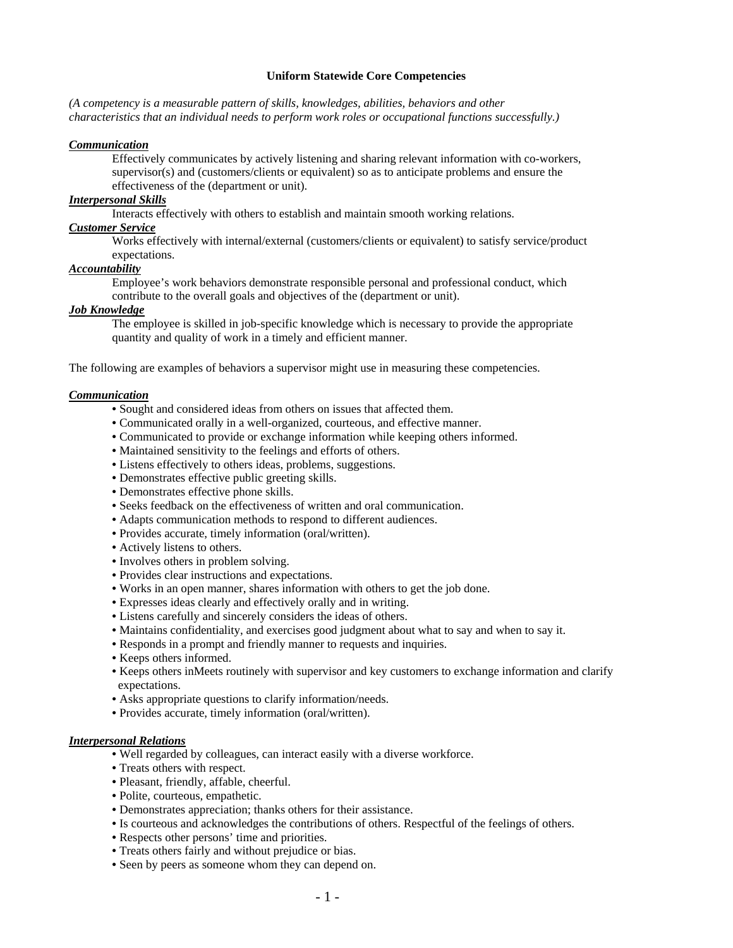### **Uniform Statewide Core Competencies**

*(A competency is a measurable pattern of skills, knowledges, abilities, behaviors and other characteristics that an individual needs to perform work roles or occupational functions successfully.)* 

#### *Communication*

Effectively communicates by actively listening and sharing relevant information with co-workers, supervisor(s) and (customers/clients or equivalent) so as to anticipate problems and ensure the effectiveness of the (department or unit).

## *Interpersonal Skills*

Interacts effectively with others to establish and maintain smooth working relations.

# *Customer Service*

Works effectively with internal/external (customers/clients or equivalent) to satisfy service/product expectations.

## *Accountability*

Employee's work behaviors demonstrate responsible personal and professional conduct, which contribute to the overall goals and objectives of the (department or unit).

## *Job Knowledge*

The employee is skilled in job-specific knowledge which is necessary to provide the appropriate quantity and quality of work in a timely and efficient manner.

The following are examples of behaviors a supervisor might use in measuring these competencies.

## *Communication*

- Sought and considered ideas from others on issues that affected them.
- Communicated orally in a well-organized, courteous, and effective manner.
- Communicated to provide or exchange information while keeping others informed.
- Maintained sensitivity to the feelings and efforts of others.
- Listens effectively to others ideas, problems, suggestions.
- Demonstrates effective public greeting skills.
- Demonstrates effective phone skills.
- Seeks feedback on the effectiveness of written and oral communication.
- Adapts communication methods to respond to different audiences.
- Provides accurate, timely information (oral/written).
- Actively listens to others.
- Involves others in problem solving.
- Provides clear instructions and expectations.
- Works in an open manner, shares information with others to get the job done.
- Expresses ideas clearly and effectively orally and in writing.
- Listens carefully and sincerely considers the ideas of others.
- Maintains confidentiality, and exercises good judgment about what to say and when to say it.
- Responds in a prompt and friendly manner to requests and inquiries.
- Keeps others informed.
- Keeps others inMeets routinely with supervisor and key customers to exchange information and clarify expectations.
- Asks appropriate questions to clarify information/needs.
- Provides accurate, timely information (oral/written).

### *Interpersonal Relations*

- Well regarded by colleagues, can interact easily with a diverse workforce.
- Treats others with respect.
- Pleasant, friendly, affable, cheerful.
- Polite, courteous, empathetic.
- Demonstrates appreciation; thanks others for their assistance.
- Is courteous and acknowledges the contributions of others. Respectful of the feelings of others.
- Respects other persons' time and priorities.
- Treats others fairly and without prejudice or bias.
- Seen by peers as someone whom they can depend on.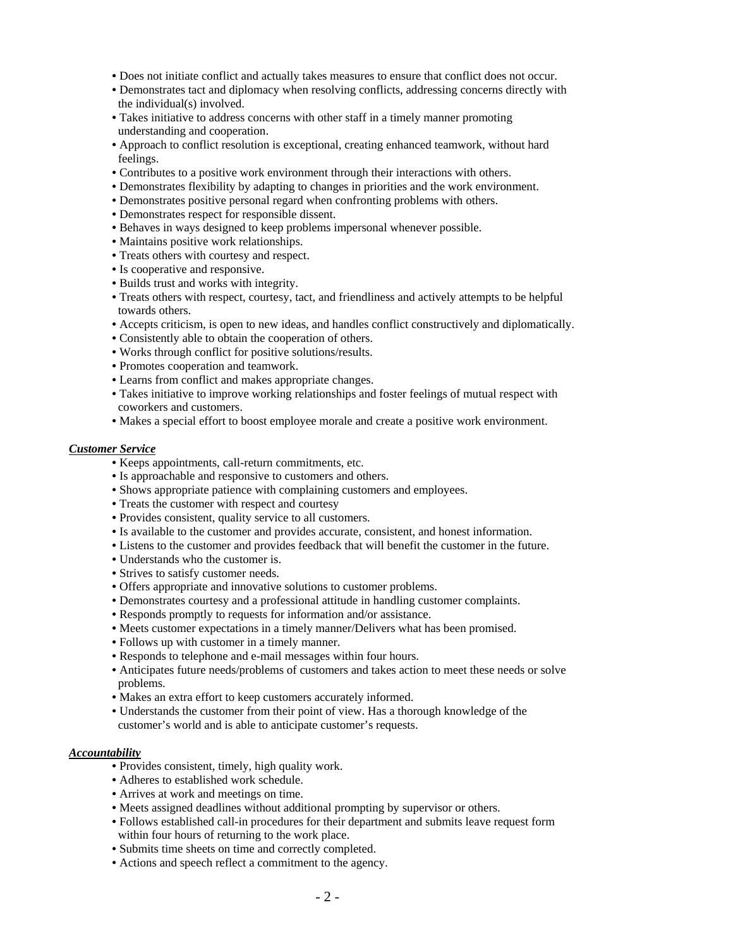- Does not initiate conflict and actually takes measures to ensure that conflict does not occur.
- Demonstrates tact and diplomacy when resolving conflicts, addressing concerns directly with the individual(s) involved.
- Takes initiative to address concerns with other staff in a timely manner promoting understanding and cooperation.
- Approach to conflict resolution is exceptional, creating enhanced teamwork, without hard feelings.
- Contributes to a positive work environment through their interactions with others.
- Demonstrates flexibility by adapting to changes in priorities and the work environment.
- Demonstrates positive personal regard when confronting problems with others.
- Demonstrates respect for responsible dissent.
- Behaves in ways designed to keep problems impersonal whenever possible.
- Maintains positive work relationships.
- Treats others with courtesy and respect.
- Is cooperative and responsive.
- Builds trust and works with integrity.
- Treats others with respect, courtesy, tact, and friendliness and actively attempts to be helpful towards others.
- Accepts criticism, is open to new ideas, and handles conflict constructively and diplomatically.
- Consistently able to obtain the cooperation of others.
- Works through conflict for positive solutions/results.
- Promotes cooperation and teamwork.
- Learns from conflict and makes appropriate changes.
- Takes initiative to improve working relationships and foster feelings of mutual respect with coworkers and customers.
- Makes a special effort to boost employee morale and create a positive work environment.

#### *Customer Service*

- Keeps appointments, call-return commitments, etc.
- Is approachable and responsive to customers and others.
- Shows appropriate patience with complaining customers and employees.
- Treats the customer with respect and courtesy
- Provides consistent, quality service to all customers.
- Is available to the customer and provides accurate, consistent, and honest information.
- Listens to the customer and provides feedback that will benefit the customer in the future.
- Understands who the customer is.
- Strives to satisfy customer needs.
- Offers appropriate and innovative solutions to customer problems.
- Demonstrates courtesy and a professional attitude in handling customer complaints.
- Responds promptly to requests for information and/or assistance.
- Meets customer expectations in a timely manner/Delivers what has been promised.
- Follows up with customer in a timely manner.
- Responds to telephone and e-mail messages within four hours.
- Anticipates future needs/problems of customers and takes action to meet these needs or solve problems.
- Makes an extra effort to keep customers accurately informed.
- Understands the customer from their point of view. Has a thorough knowledge of the customer's world and is able to anticipate customer's requests.

#### *Accountability*

- Provides consistent, timely, high quality work.
- Adheres to established work schedule.
- Arrives at work and meetings on time.
- Meets assigned deadlines without additional prompting by supervisor or others.
- Follows established call-in procedures for their department and submits leave request form within four hours of returning to the work place.
- Submits time sheets on time and correctly completed.
- Actions and speech reflect a commitment to the agency.